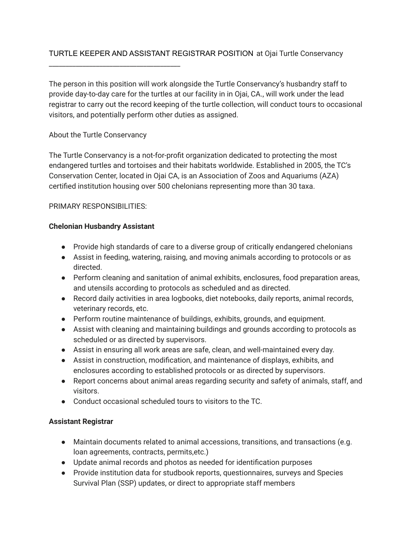## TURTLE KEEPER AND ASSISTANT REGISTRAR POSITION at Ojai Turtle Conservancy

The person in this position will work alongside the Turtle Conservancy's husbandry staff to provide day-to-day care for the turtles at our facility in in Ojai, CA., will work under the lead registrar to carry out the record keeping of the turtle collection, will conduct tours to occasional visitors, and potentially perform other duties as assigned.

### About the Turtle Conservancy

\_\_\_\_\_\_\_\_\_\_\_\_\_\_\_\_\_\_\_\_\_\_\_\_\_\_\_\_\_\_\_\_\_\_\_\_\_\_\_

The Turtle Conservancy is a not-for-profit organization dedicated to protecting the most endangered turtles and tortoises and their habitats worldwide. Established in 2005, the TC's Conservation Center, located in Ojai CA, is an Association of Zoos and Aquariums (AZA) certified institution housing over 500 chelonians representing more than 30 taxa.

### PRIMARY RESPONSIBILITIES:

### **Chelonian Husbandry Assistant**

- Provide high standards of care to a diverse group of critically endangered chelonians
- Assist in feeding, watering, raising, and moving animals according to protocols or as directed.
- Perform cleaning and sanitation of animal exhibits, enclosures, food preparation areas, and utensils according to protocols as scheduled and as directed.
- Record daily activities in area logbooks, diet notebooks, daily reports, animal records, veterinary records, etc.
- Perform routine maintenance of buildings, exhibits, grounds, and equipment.
- Assist with cleaning and maintaining buildings and grounds according to protocols as scheduled or as directed by supervisors.
- Assist in ensuring all work areas are safe, clean, and well-maintained every day.
- Assist in construction, modification, and maintenance of displays, exhibits, and enclosures according to established protocols or as directed by supervisors.
- Report concerns about animal areas regarding security and safety of animals, staff, and visitors.
- Conduct occasional scheduled tours to visitors to the TC.

### **Assistant Registrar**

- Maintain documents related to animal accessions, transitions, and transactions (e.g. loan agreements, contracts, permits,etc.)
- Update animal records and photos as needed for identification purposes
- Provide institution data for studbook reports, questionnaires, surveys and Species Survival Plan (SSP) updates, or direct to appropriate staff members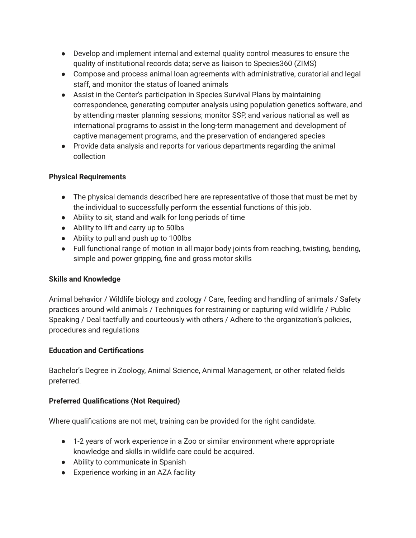- Develop and implement internal and external quality control measures to ensure the quality of institutional records data; serve as liaison to Species360 (ZIMS)
- Compose and process animal loan agreements with administrative, curatorial and legal staff, and monitor the status of loaned animals
- Assist in the Center's participation in Species Survival Plans by maintaining correspondence, generating computer analysis using population genetics software, and by attending master planning sessions; monitor SSP, and various national as well as international programs to assist in the long-term management and development of captive management programs, and the preservation of endangered species
- Provide data analysis and reports for various departments regarding the animal collection

### **Physical Requirements**

- The physical demands described here are representative of those that must be met by the individual to successfully perform the essential functions of this job.
- Ability to sit, stand and walk for long periods of time
- Ability to lift and carry up to 50lbs
- Ability to pull and push up to 100lbs
- Full functional range of motion in all major body joints from reaching, twisting, bending, simple and power gripping, fine and gross motor skills

### **Skills and Knowledge**

Animal behavior / Wildlife biology and zoology / Care, feeding and handling of animals / Safety practices around wild animals / Techniques for restraining or capturing wild wildlife / Public Speaking / Deal tactfully and courteously with others / Adhere to the organization's policies, procedures and regulations

### **Education and Certifications**

Bachelor's Degree in Zoology, Animal Science, Animal Management, or other related fields preferred.

# **Preferred Qualifications (Not Required)**

Where qualifications are not met, training can be provided for the right candidate.

- 1-2 years of work experience in a Zoo or similar environment where appropriate knowledge and skills in wildlife care could be acquired.
- Ability to communicate in Spanish
- Experience working in an AZA facility